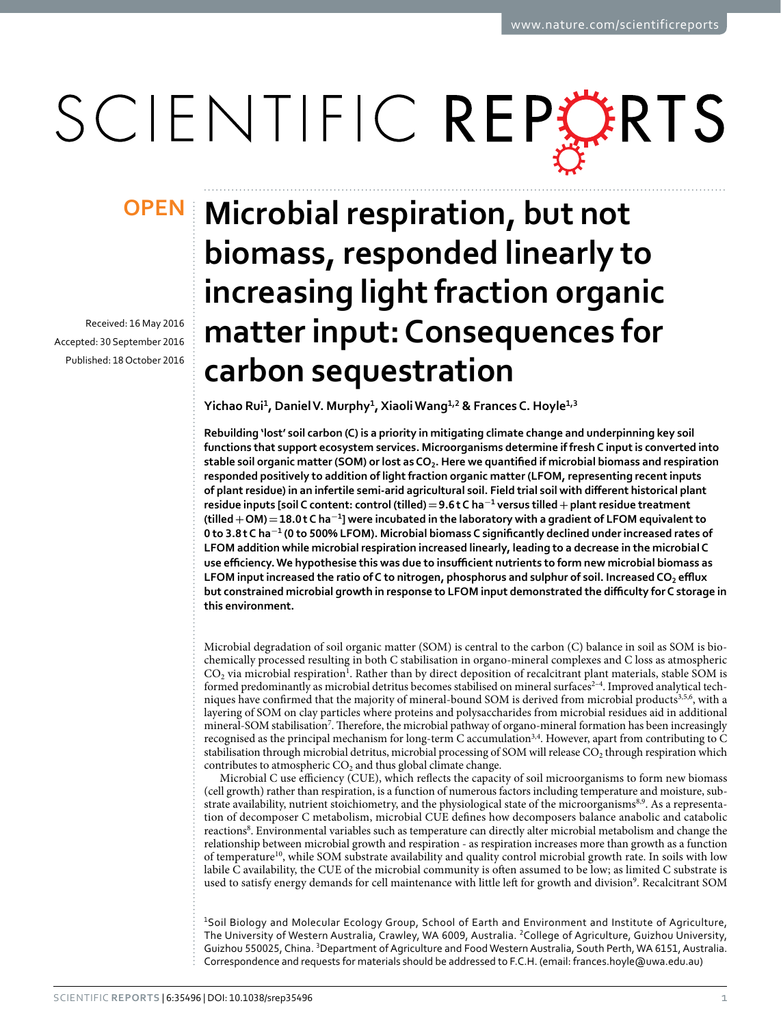# SCIENTIFIC REPERTS

Received: 16 May 2016 accepted: 30 September 2016 Published: 18 October 2016

## **Microbial respiration, but not biomass, responded linearly to increasing light fraction organic matter input: Consequences for carbon sequestration**

**Yichao Rui<sup>1</sup>, DanielV. Murphy<sup>1</sup>, XiaoliWang<sup>1</sup>,<sup>2</sup> & Frances C. Hoyle<sup>1</sup>,<sup>3</sup>**

**Rebuilding 'lost' soil carbon (C) is a priority in mitigating climate change and underpinning key soil functions that support ecosystem services. Microorganisms determine if fresh C input is converted into stable soil organic matter (SOM) or lost as CO2. Here we quantified if microbial biomass and respiration responded positively to addition of light fraction organic matter (LFOM, representing recent inputs of plant residue) in an infertile semi-arid agricultural soil. Field trial soil with different historical plant residue inputs [soil C content: control (tilled)=9.6t C ha<sup>−</sup><sup>1</sup> versus tilled+plant residue treatment (tilled+OM)=18.0t C ha<sup>−</sup><sup>1</sup>] were incubated in the laboratory with a gradient of LFOM equivalent to 0 to 3.8t C ha<sup>−</sup>1 (0 to 500% LFOM). Microbial biomass C significantly declined under increased rates of LFOM addition while microbial respiration increased linearly, leading to a decrease in the microbial C use efficiency. We hypothesise this was due to insufficient nutrients to form new microbial biomass as LFOM input increased the ratio of C to nitrogen, phosphorus and sulphur of soil. Increased CO2 efflux but constrained microbial growth in response to LFOM input demonstrated the difficulty for C storage in this environment.**

Microbial degradation of soil organic matter (SOM) is central to the carbon (C) balance in soil as SOM is biochemically processed resulting in both C stabilisation in organo-mineral complexes and C loss as atmospheric  $CO<sub>2</sub>$  via microbial respiration<sup>[1](#page-7-0)</sup>. Rather than by direct deposition of recalcitrant plant materials, stable SOM is formed predominantly as microbial detritus becomes stabilised on mineral surfaces<sup>2-4</sup>. Improved analytical tech-niques have confirmed that the majority of mineral-bound SOM is derived from microbial products<sup>[3](#page-7-2)[,5](#page-7-3)[,6](#page-7-4)</sup>, with a layering of SOM on clay particles where proteins and polysaccharides from microbial residues aid in additional mineral-SOM stabilisation<sup>7</sup>. Therefore, the microbial pathway of organo-mineral formation has been increasingly recognised as the principal mechanism for long-term C accumulatio[n3](#page-7-2)[,4](#page-7-6). However, apart from contributing to C stabilisation through microbial detritus, microbial processing of SOM will release CO<sub>2</sub> through respiration which contributes to atmospheric  $CO<sub>2</sub>$  and thus global climate change.

Microbial C use efficiency (CUE), which reflects the capacity of soil microorganisms to form new biomass (cell growth) rather than respiration, is a function of numerous factors including temperature and moisture, sub-strate availability, nutrient stoichiometry, and the physiological state of the microorganisms<sup>8[,9](#page-7-8)</sup>. As a representation of decomposer C metabolism, microbial CUE defines how decomposers balance anabolic and catabolic reactions<sup>8</sup>. Environmental variables such as temperature can directly alter microbial metabolism and change the relationship between microbial growth and respiration - as respiration increases more than growth as a function of temperature[10](#page-7-9), while SOM substrate availability and quality control microbial growth rate. In soils with low labile C availability, the CUE of the microbial community is often assumed to be low; as limited C substrate is used to satisfy energy demands for cell maintenance with little left for growth and division<sup>[9](#page-7-8)</sup>. Recalcitrant SOM

<sup>1</sup>Soil Biology and Molecular Ecology Group, School of Earth and Environment and Institute of Agriculture, The University of Western Australia, Crawley, WA 6009, Australia. 2College of Agriculture, Guizhou University, Guizhou 550025, China. <sup>3</sup>Department of Agriculture and Food Western Australia, South Perth, WA 6151, Australia. Correspondence and requests for materials should be addressed to F.C.H. (email: [frances.hoyle@uwa.edu.au\)](mailto:frances.hoyle@uwa.edu.au)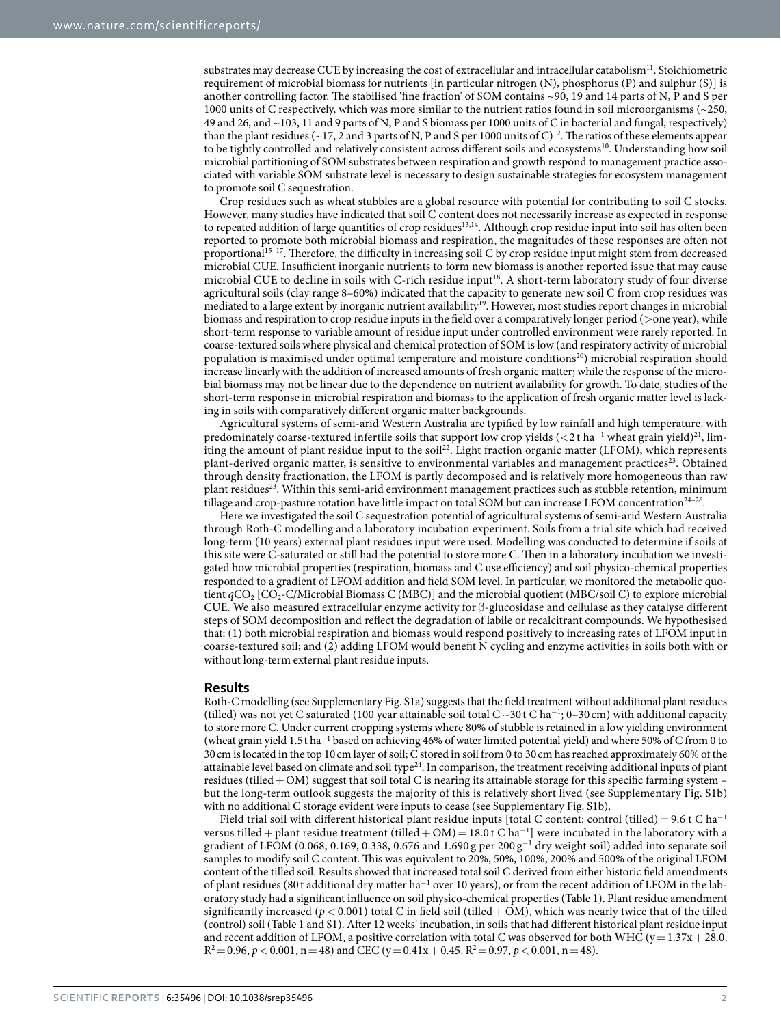substrates may decrease CUE by increasing the cost of extracellular and intracellular catabolism<sup>[11](#page-7-10)</sup>. Stoichiometric requirement of microbial biomass for nutrients [in particular nitrogen (N), phosphorus (P) and sulphur (S)] is another controlling factor. The stabilised 'fine fraction' of SOM contains ~90, 19 and 14 parts of N, P and S per 1000 units of C respectively, which was more similar to the nutrient ratios found in soil microorganisms (~250, 49 and 26, and ~103, 11 and 9 parts of N, P and S biomass per 1000 units of C in bacterial and fungal, respectively) than the plant residues (~17, 2 and 3 parts of N, P and S per 1000 units of C)<sup>12</sup>. The ratios of these elements appear to be tightly controlled and relatively consistent across different soils and ecosystems<sup>[10](#page-7-9)</sup>. Understanding how soil microbial partitioning of SOM substrates between respiration and growth respond to management practice associated with variable SOM substrate level is necessary to design sustainable strategies for ecosystem management to promote soil C sequestration.

Crop residues such as wheat stubbles are a global resource with potential for contributing to soil C stocks. However, many studies have indicated that soil C content does not necessarily increase as expected in response to repeated addition of large quantities of crop residues<sup>13,14</sup>. Although crop residue input into soil has often been reported to promote both microbial biomass and respiration, the magnitudes of these responses are often not proportional<sup>[15–17](#page-7-14)</sup>. Therefore, the difficulty in increasing soil C by crop residue input might stem from decreased microbial CUE. Insufficient inorganic nutrients to form new biomass is another reported issue that may cause microbial CUE to decline in soils with C-rich residue input<sup>18</sup>. A short-term laboratory study of four diverse agricultural soils (clay range 8–60%) indicated that the capacity to generate new soil C from crop residues was mediated to a large extent by inorganic nutrient availability<sup>19</sup>. However, most studies report changes in microbial biomass and respiration to crop residue inputs in the field over a comparatively longer period (>one year), while short-term response to variable amount of residue input under controlled environment were rarely reported. In coarse-textured soils where physical and chemical protection of SOM is low (and respiratory activity of microbial population is maximised under optimal temperature and moisture condition[s20](#page-7-17)) microbial respiration should increase linearly with the addition of increased amounts of fresh organic matter; while the response of the microbial biomass may not be linear due to the dependence on nutrient availability for growth. To date, studies of the short-term response in microbial respiration and biomass to the application of fresh organic matter level is lacking in soils with comparatively different organic matter backgrounds.

Agricultural systems of semi-arid Western Australia are typified by low rainfall and high temperature, with predominately coarse-textured infertile soils that support low crop yields (<2t ha<sup>-1</sup> wheat grain yield)<sup>21</sup>, limiting the amount of plant residue input to the soi[l22](#page-7-19). Light fraction organic matter (LFOM), which represents plant-derived organic matter, is sensitive to environmental variables and management practices<sup>[23](#page-7-20)</sup>. Obtained through density fractionation, the LFOM is partly decomposed and is relatively more homogeneous than raw plant residues<sup>23</sup>. Within this semi-arid environment management practices such as stubble retention, minimum tillage and crop-pasture rotation have little impact on total SOM but can increase LFOM concentration<sup>24-26</sup>.

Here we investigated the soil C sequestration potential of agricultural systems of semi-arid Western Australia through Roth-C modelling and a laboratory incubation experiment. Soils from a trial site which had received long-term (10 years) external plant residues input were used. Modelling was conducted to determine if soils at this site were C-saturated or still had the potential to store more C. Then in a laboratory incubation we investigated how microbial properties (respiration, biomass and C use efficiency) and soil physico-chemical properties responded to a gradient of LFOM addition and field SOM level. In particular, we monitored the metabolic quotient *q*CO<sub>2</sub> [CO<sub>2</sub>-C/Microbial Biomass C (MBC)] and the microbial quotient (MBC/soil C) to explore microbial CUE. We also measured extracellular enzyme activity for β-glucosidase and cellulase as they catalyse different steps of SOM decomposition and reflect the degradation of labile or recalcitrant compounds. We hypothesised that: (1) both microbial respiration and biomass would respond positively to increasing rates of LFOM input in coarse-textured soil; and (2) adding LFOM would benefit N cycling and enzyme activities in soils both with or without long-term external plant residue inputs.

#### **Results**

Roth-C modelling (see Supplementary Fig. S1a) suggests that the field treatment without additional plant residues (tilled) was not yet C saturated (100 year attainable soil total C ~30 t C ha<sup>-1</sup>; 0-30 cm) with additional capacity to store more C. Under current cropping systems where 80% of stubble is retained in a low yielding environment (wheat grain yield 1.5 t ha<sup>-1</sup> based on achieving 46% of water limited potential yield) and where 50% of C from 0 to 30cm is located in the top 10cm layer of soil; C stored in soil from 0 to 30cm has reached approximately 60% of the attainable level based on climate and soil type[24.](#page-7-21) In comparison, the treatment receiving additional inputs of plant residues (tilled+ OM) suggest that soil total C is nearing its attainable storage for this specific farming system – but the long-term outlook suggests the majority of this is relatively short lived (see Supplementary Fig. S1b) with no additional C storage evident were inputs to cease (see Supplementary Fig. S1b).

Field trial soil with different historical plant residue inputs [total C content: control (tilled)= 9.6 t C ha<sup>−</sup><sup>1</sup> versus tilled + plant residue treatment (tilled + OM) = 18.0 t C ha<sup>-1</sup>] were incubated in the laboratory with a gradient of LFOM (0.068, 0.169, 0.338, 0.676 and 1.690 g per 200 g<sup>-1</sup> dry weight soil) added into separate soil samples to modify soil C content. This was equivalent to 20%, 50%, 100%, 200% and 500% of the original LFOM content of the tilled soil. Results showed that increased total soil C derived from either historic field amendments of plant residues (80t additional dry matter ha<sup>-1</sup> over 10 years), or from the recent addition of LFOM in the laboratory study had a significant influence on soil physico-chemical properties [\(Table 1](#page-2-0)). Plant residue amendment significantly increased ( $p < 0.001$ ) total C in field soil (tilled + OM), which was nearly twice that of the tilled (control) soil ([Table 1](#page-2-0) and S1). After 12 weeks' incubation, in soils that had different historical plant residue input and recent addition of LFOM, a positive correlation with total C was observed for both WHC ( $y=1.37x+28.0$ ,  $R^2 = 0.96$ ,  $p < 0.001$ ,  $n = 48$ ) and CEC (y = 0.41x + 0.45,  $R^2 = 0.97$ ,  $p < 0.001$ ,  $n = 48$ ).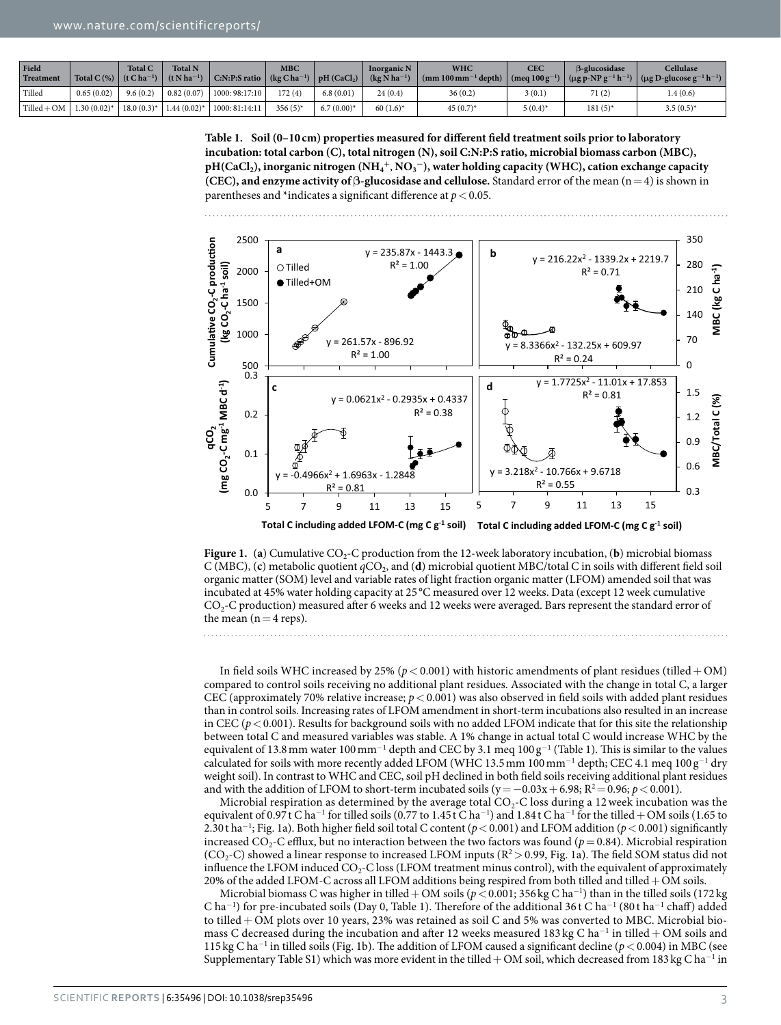<span id="page-2-0"></span>

| Field<br>Treatment | Total C(%) $(t Cha^{-1})$ | <b>Total C</b> | <b>Total N</b><br>$(t \mathrm{N} \mathrm{h} \mathrm{a}^{-1})$ | $\vert$ C:N:P:S ratio $\vert$ (kg C ha <sup>-1</sup> ) $\vert$ pH (CaCl <sub>2</sub> ) | <b>MBC</b> |               | <b>Inorganic N</b><br>$(kg \text{ N} \text{ ha}^{-1})$ | <b>WHC</b><br>$\mid$ (mm 100 mm <sup>-1</sup> depth) $\mid$ (meq 100 g <sup>-1</sup> ) $\mid$ (µg p-NP g <sup>-1</sup> h <sup>-1</sup> ) $\mid$ (µg D-glucose g <sup>-1</sup> h <sup>-1</sup> ) | <b>CEC</b> | <b>B-glucosidase</b> | <b>Cellulase</b> |
|--------------------|---------------------------|----------------|---------------------------------------------------------------|----------------------------------------------------------------------------------------|------------|---------------|--------------------------------------------------------|-------------------------------------------------------------------------------------------------------------------------------------------------------------------------------------------------|------------|----------------------|------------------|
| Tilled             | 0.65(0.02)                | 9.6(0.2)       | 0.82(0.07)                                                    | 1000: 98:17:10                                                                         | 172(4)     | 6.8(0.01)     | 24(0.4)                                                | 36(0.2)                                                                                                                                                                                         | 3 (0.1)    | 71(2)                | 1.4(0.6)         |
| $Tilled + OM$      | $1.30(0.02)^{*}$          | $18.0(0.3)^*$  | $1.44(0.02)^{*}$                                              | 1000: 81:14:11                                                                         | $356(5)$ * | $6.7(0.00)^*$ | $60(1.6)^*$                                            | $45(0.7)$ *                                                                                                                                                                                     | $5(0.4)^*$ | $181(5)^*$           | $3.5(0.5)^{*}$   |

**Table 1. Soil (0–10 cm) properties measured for different field treatment soils prior to laboratory incubation: total carbon (C), total nitrogen (N), soil C:N:P:S ratio, microbial biomass carbon (MBC), pH(CaCl2), inorganic nitrogen (NH4 <sup>+</sup>**, **NO3 <sup>−</sup>), water holding capacity (WHC), cation exchange capacity (CEC), and enzyme activity of**  $\beta$ **-glucosidase and cellulose.** Standard error of the mean  $(n=4)$  is shown in parentheses and \*indicates a significant difference at  $p < 0.05$ .



<span id="page-2-1"></span>**Figure 1.** (a) Cumulative CO<sub>2</sub>-C production from the 12-week laboratory incubation, (b) microbial biomass C (MBC), (c) metabolic quotient  $qCO<sub>2</sub>$ , and (d) microbial quotient MBC/total C in soils with different field soil organic matter (SOM) level and variable rates of light fraction organic matter (LFOM) amended soil that was incubated at 45% water holding capacity at 25 °C measured over 12 weeks. Data (except 12 week cumulative CO2-C production) measured after 6 weeks and 12 weeks were averaged. Bars represent the standard error of the mean  $(n=4$  reps).

In field soils WHC increased by 25% ( $p < 0.001$ ) with historic amendments of plant residues (tilled + OM) compared to control soils receiving no additional plant residues. Associated with the change in total C, a larger CEC (approximately 70% relative increase;  $p < 0.001$ ) was also observed in field soils with added plant residues than in control soils. Increasing rates of LFOM amendment in short-term incubations also resulted in an increase in CEC ( $p < 0.001$ ). Results for background soils with no added LFOM indicate that for this site the relationship between total C and measured variables was stable. A 1% change in actual total C would increase WHC by the equivalent of 13.8 mm water 100 mm<sup>-1</sup> depth and CEC by 3.1 meq  $100 g^{-1}$  [\(Table 1\)](#page-2-0). This is similar to the values calculated for soils with more recently added LFOM (WHC 13.5 mm  $100\,\text{mm}^{-1}$  depth; CEC 4.1 meq  $100\,\text{g}^{-1}$  dry weight soil). In contrast to WHC and CEC, soil pH declined in both field soils receiving additional plant residues and with the addition of LFOM to short-term incubated soils ( $y = -0.03x + 6.98$ ;  $R^2 = 0.96$ ;  $p < 0.001$ ).

Microbial respiration as determined by the average total  $CO<sub>2</sub>$ -C loss during a 12 week incubation was the equivalent of 0.97 t C ha<sup>-1</sup> for tilled soils (0.77 to 1.45 t C ha<sup>-1</sup>) and 1.84 t C ha<sup>-1</sup> for the tilled + OM soils (1.65 to 2.30 t ha<sup>-1</sup>; [Fig. 1a](#page-2-1)). Both higher field soil total C content (*p* < 0.001) and LFOM addition (*p* < 0.001) significantly increased  $CO<sub>2</sub>$ -C efflux, but no interaction between the two factors was found ( $p=0.84$ ). Microbial respiration (CO<sub>2</sub>-C) showed a linear response to increased LFOM inputs ( $R^2 > 0.99$ , [Fig. 1a\)](#page-2-1). The field SOM status did not influence the LFOM induced  $CO<sub>2</sub>-C$  loss (LFOM treatment minus control), with the equivalent of approximately 20% of the added LFOM-C across all LFOM additions being respired from both tilled and tilled+OM soils.

Microbial biomass C was higher in tilled+OM soils (*p*<0.001; 356 kg C ha<sup>−</sup><sup>1</sup> ) than in the tilled soils (172kg C ha<sup>-1</sup>) for pre-incubated soils (Day 0, [Table 1](#page-2-0)). Therefore of the additional 36 t C ha<sup>-1</sup> (80 t ha<sup>-1</sup> chaff) added to tilled+ OM plots over 10 years, 23% was retained as soil C and 5% was converted to MBC. Microbial biomass C decreased during the incubation and after 12 weeks measured 183 kg C ha<sup>-1</sup> in tilled + OM soils and 115 kg C ha<sup>−</sup><sup>1</sup> in tilled soils [\(Fig. 1b\)](#page-2-1). The addition of LFOM caused a significant decline (*p*<0.004) in MBC (see Supplementary Table S1) which was more evident in the tilled+OM soil, which decreased from 183 kg C ha<sup>−</sup><sup>1</sup> in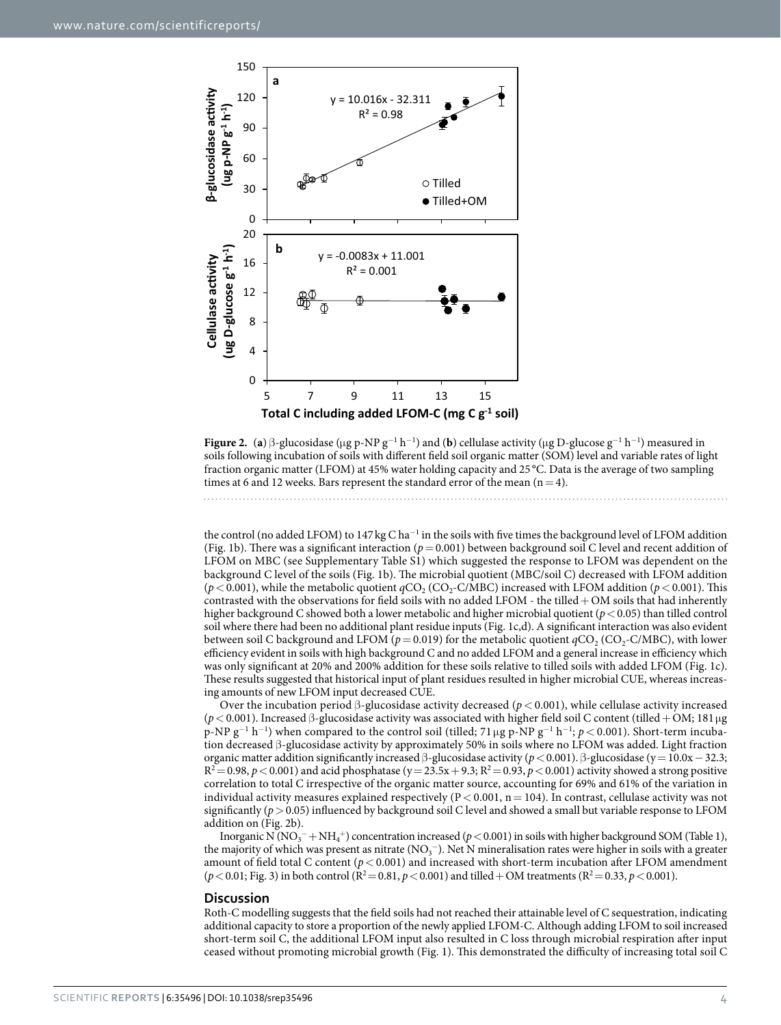

<span id="page-3-0"></span>**Figure 2.** (a) β-glucosidase (μg p-NP  $g^{-1}$  h<sup>-1</sup>) and (b) cellulase activity (μg D-glucose  $g^{-1}$  h<sup>-1</sup>) measured in soils following incubation of soils with different field soil organic matter (SOM) level and variable rates of light fraction organic matter (LFOM) at 45% water holding capacity and 25 °C. Data is the average of two sampling times at 6 and 12 weeks. Bars represent the standard error of the mean  $(n=4)$ .

the control (no added LFOM) to 147 kg C ha<sup>-1</sup> in the soils with five times the background level of LFOM addition ([Fig. 1b](#page-2-1)). There was a significant interaction ( $p= 0.001$ ) between background soil C level and recent addition of LFOM on MBC (see Supplementary Table S1) which suggested the response to LFOM was dependent on the background C level of the soils [\(Fig. 1b\)](#page-2-1). The microbial quotient (MBC/soil C) decreased with LFOM addition  $(p < 0.001)$ , while the metabolic quotient  $qCO<sub>2</sub>$  (CO<sub>2</sub>-C/MBC) increased with LFOM addition ( $p < 0.001$ ). This contrasted with the observations for field soils with no added LFOM - the tilled  $+$  OM soils that had inherently higher background C showed both a lower metabolic and higher microbial quotient (*p*<0.05) than tilled control soil where there had been no additional plant residue inputs [\(Fig. 1c,d](#page-2-1)). A significant interaction was also evident between soil C background and LFOM ( $p = 0.019$ ) for the metabolic quotient  $qCO_2$  (CO<sub>2</sub>-C/MBC), with lower efficiency evident in soils with high background C and no added LFOM and a general increase in efficiency which was only significant at 20% and 200% addition for these soils relative to tilled soils with added LFOM ([Fig. 1c](#page-2-1)). These results suggested that historical input of plant residues resulted in higher microbial CUE, whereas increasing amounts of new LFOM input decreased CUE.

Over the incubation period β-glucosidase activity decreased (*p*< 0.001), while cellulase activity increased (*p*<0.001). Increased β-glucosidase activity was associated with higher field soil C content (tilled+OM; 181μg p-NP g<sup>−1</sup> h<sup>−1</sup>) when compared to the control soil (tilled; 71 μg p-NP g<sup>−1</sup> h<sup>−1</sup>; *p* < 0.001). Short-term incubation decreased β-glucosidase activity by approximately 50% in soils where no LFOM was added. Light fraction organic matter addition significantly increased β-glucosidase activity (*p*< 0.001). β-glucosidase (y= 10.0x− 32.3;  $R^2 = 0.98$ ,  $p < 0.001$ ) and acid phosphatase (y= 23.5x + 9.3;  $R^2 = 0.93$ ,  $p < 0.001$ ) activity showed a strong positive correlation to total C irrespective of the organic matter source, accounting for 69% and 61% of the variation in individual activity measures explained respectively ( $P < 0.001$ ,  $n = 104$ ). In contrast, cellulase activity was not significantly ( $p > 0.05$ ) influenced by background soil C level and showed a small but variable response to LFOM addition on [\(Fig. 2b](#page-3-0)).

Inorganic N (NO<sub>3</sub><sup>-</sup> + NH<sub>4</sub><sup>+</sup>) concentration increased ( $p$  < 0.001) in soils with higher background SOM [\(Table 1\)](#page-2-0), the majority of which was present as nitrate (NO<sub>3</sub><sup>-</sup>). Net N mineralisation rates were higher in soils with a greater amount of field total C content ( $p < 0.001$ ) and increased with short-term incubation after LFOM amendment  $(p < 0.01;$  [Fig. 3](#page-4-0)) in both control ( $R^2 = 0.81, p < 0.001$ ) and tilled + OM treatments ( $R^2 = 0.33, p < 0.001$ ).

#### **Discussion**

Roth-C modelling suggests that the field soils had not reached their attainable level of C sequestration, indicating additional capacity to store a proportion of the newly applied LFOM-C. Although adding LFOM to soil increased short-term soil C, the additional LFOM input also resulted in C loss through microbial respiration after input ceased without promoting microbial growth [\(Fig. 1](#page-2-1)). This demonstrated the difficulty of increasing total soil C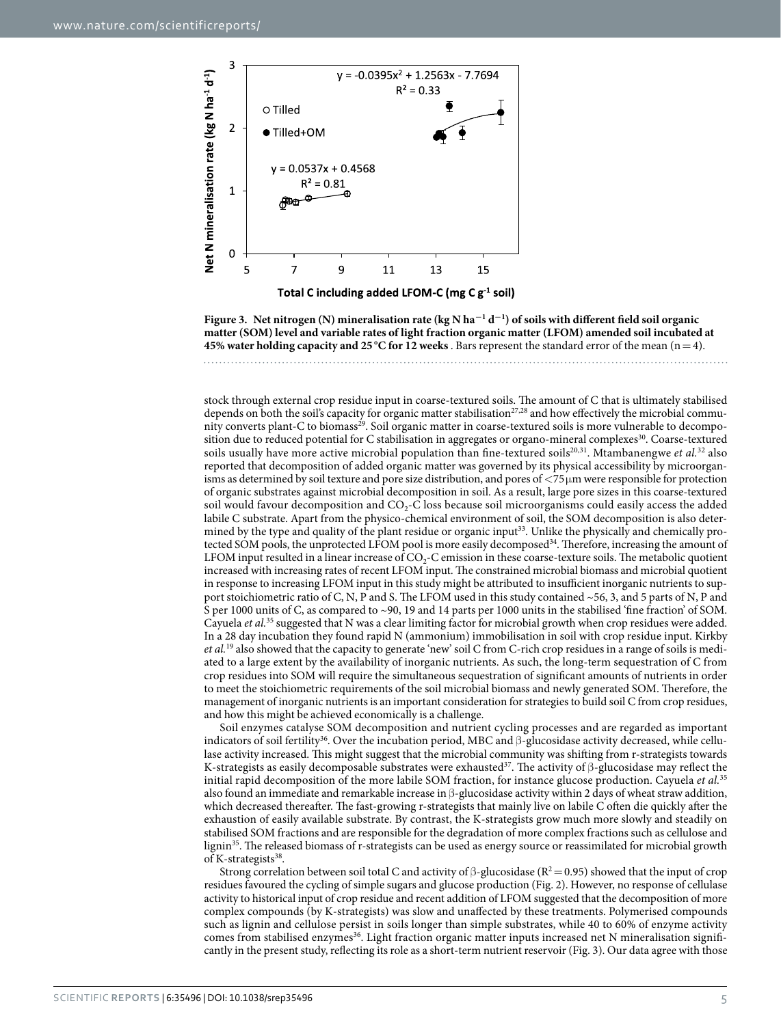

<span id="page-4-0"></span>**Figure 3. Net nitrogen (N) mineralisation rate (kg N ha<sup>−</sup><sup>1</sup> d<sup>−</sup><sup>1</sup> ) of soils with different field soil organic matter (SOM) level and variable rates of light fraction organic matter (LFOM) amended soil incubated at 45% water holding capacity and 25 °C for 12 weeks** . Bars represent the standard error of the mean (n=4).

stock through external crop residue input in coarse-textured soils. The amount of C that is ultimately stabilised depends on both the soil's capacity for organic matter stabilisation<sup>[27](#page-7-22),[28](#page-7-23)</sup> and how effectively the microbial community converts plant-C to biomass<sup>29</sup>. Soil organic matter in coarse-textured soils is more vulnerable to decompo-sition due to reduced potential for C stabilisation in aggregates or organo-mineral complexes<sup>[30](#page-7-25)</sup>. Coarse-textured soils usually have more active microbial population than fine-textured soils<sup>[20,](#page-7-17)31</sup>. Mtambanengwe *et al.*<sup>32</sup> also reported that decomposition of added organic matter was governed by its physical accessibility by microorganisms as determined by soil texture and pore size distribution, and pores of <75μm were responsible for protection of organic substrates against microbial decomposition in soil. As a result, large pore sizes in this coarse-textured soil would favour decomposition and CO<sub>2</sub>-C loss because soil microorganisms could easily access the added labile C substrate. Apart from the physico-chemical environment of soil, the SOM decomposition is also determined by the type and quality of the plant residue or organic input<sup>33</sup>. Unlike the physically and chemically protected SOM pools, the unprotected LFOM pool is more easily decomposed<sup>34</sup>. Therefore, increasing the amount of LFOM input resulted in a linear increase of  $CO_2$ -C emission in these coarse-texture soils. The metabolic quotient increased with increasing rates of recent LFOM input. The constrained microbial biomass and microbial quotient in response to increasing LFOM input in this study might be attributed to insufficient inorganic nutrients to support stoichiometric ratio of C, N, P and S. The LFOM used in this study contained ~56, 3, and 5 parts of N, P and S per 1000 units of C, as compared to ~90, 19 and 14 parts per 1000 units in the stabilised 'fine fraction' of SOM. Cayuela *et al.*[35](#page-7-30) suggested that N was a clear limiting factor for microbial growth when crop residues were added. In a 28 day incubation they found rapid N (ammonium) immobilisation in soil with crop residue input. Kirkby *et al.*[19](#page-7-16) also showed that the capacity to generate 'new' soil C from C-rich crop residues in a range of soils is mediated to a large extent by the availability of inorganic nutrients. As such, the long-term sequestration of C from crop residues into SOM will require the simultaneous sequestration of significant amounts of nutrients in order to meet the stoichiometric requirements of the soil microbial biomass and newly generated SOM. Therefore, the management of inorganic nutrients is an important consideration for strategies to build soil C from crop residues, and how this might be achieved economically is a challenge.

Soil enzymes catalyse SOM decomposition and nutrient cycling processes and are regarded as important indicators of soil fertility<sup>36</sup>. Over the incubation period, MBC and  $\beta$ -glucosidase activity decreased, while cellulase activity increased. This might suggest that the microbial community was shifting from r-strategists towards K-strategists as easily decomposable substrates were exhausted<sup>37</sup>. The activity of  $\beta$ -glucosidase may reflect the initial rapid decomposition of the more labile SOM fraction, for instance glucose production. Cayuela *et al.*[35](#page-7-30) also found an immediate and remarkable increase in β-glucosidase activity within 2 days of wheat straw addition, which decreased thereafter. The fast-growing r-strategists that mainly live on labile C often die quickly after the exhaustion of easily available substrate. By contrast, the K-strategists grow much more slowly and steadily on stabilised SOM fractions and are responsible for the degradation of more complex fractions such as cellulose and lignin<sup>[35](#page-7-30)</sup>. The released biomass of r-strategists can be used as energy source or reassimilated for microbial growth of K-strategists $38$ .

Strong correlation between soil total C and activity of  $\beta$ -glucosidase (R<sup>2</sup> = 0.95) showed that the input of crop residues favoured the cycling of simple sugars and glucose production ([Fig. 2](#page-3-0)). However, no response of cellulase activity to historical input of crop residue and recent addition of LFOM suggested that the decomposition of more complex compounds (by K-strategists) was slow and unaffected by these treatments. Polymerised compounds such as lignin and cellulose persist in soils longer than simple substrates, while 40 to 60% of enzyme activity comes from stabilised enzymes<sup>36</sup>. Light fraction organic matter inputs increased net N mineralisation significantly in the present study, reflecting its role as a short-term nutrient reservoir ([Fig. 3](#page-4-0)). Our data agree with those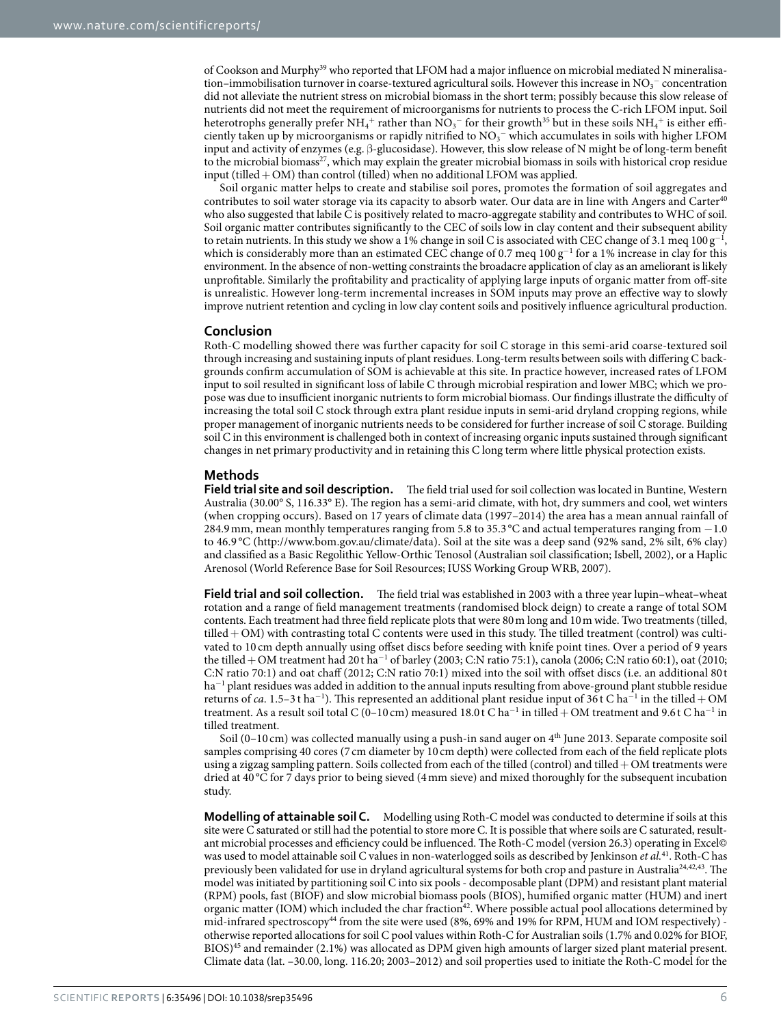of Cookson and Murphy[39](#page-7-34) who reported that LFOM had a major influence on microbial mediated N mineralisation–immobilisation turnover in coarse-textured agricultural soils. However this increase in  ${\rm NO_3^-}$  concentration did not alleviate the nutrient stress on microbial biomass in the short term; possibly because this slow release of nutrients did not meet the requirement of microorganisms for nutrients to process the C-rich LFOM input. Soil heterotrophs generally prefer NH $_4^+$  rather than NO $_3^-$  for their growth $^{35}$  $^{35}$  $^{35}$  but in these soils NH $_4^+$  is either efficiently taken up by microorganisms or rapidly nitrified to  ${\rm NO_3^-}$  which accumulates in soils with higher LFOM input and activity of enzymes (e.g. β-glucosidase). However, this slow release of N might be of long-term benefit to the microbial biomass<sup>[27](#page-7-22)</sup>, which may explain the greater microbial biomass in soils with historical crop residue input (tilled  $+$  OM) than control (tilled) when no additional LFOM was applied.

Soil organic matter helps to create and stabilise soil pores, promotes the formation of soil aggregates and contributes to soil water storage via its capacity to absorb water. Our data are in line with Angers and Carter<sup>40</sup> who also suggested that labile C is positively related to macro-aggregate stability and contributes to WHC of soil. Soil organic matter contributes significantly to the CEC of soils low in clay content and their subsequent ability to retain nutrients. In this study we show a 1% change in soil C is associated with CEC change of 3.1 meq  $100\,\rm g^{-1}$ , which is considerably more than an estimated CEC change of 0.7 meq  $100\,\mathrm{g}^{-1}$  for a 1% increase in clay for this environment. In the absence of non-wetting constraints the broadacre application of clay as an ameliorant is likely unprofitable. Similarly the profitability and practicality of applying large inputs of organic matter from off-site is unrealistic. However long-term incremental increases in SOM inputs may prove an effective way to slowly improve nutrient retention and cycling in low clay content soils and positively influence agricultural production.

### **Conclusion**

Roth-C modelling showed there was further capacity for soil C storage in this semi-arid coarse-textured soil through increasing and sustaining inputs of plant residues. Long-term results between soils with differing C backgrounds confirm accumulation of SOM is achievable at this site. In practice however, increased rates of LFOM input to soil resulted in significant loss of labile C through microbial respiration and lower MBC; which we propose was due to insufficient inorganic nutrients to form microbial biomass. Our findings illustrate the difficulty of increasing the total soil C stock through extra plant residue inputs in semi-arid dryland cropping regions, while proper management of inorganic nutrients needs to be considered for further increase of soil C storage. Building soil C in this environment is challenged both in context of increasing organic inputs sustained through significant changes in net primary productivity and in retaining this C long term where little physical protection exists.

### **Methods**

**Field trial site and soil description.** The field trial used for soil collection was located in Buntine, Western Australia (30.00° S, 116.33° E). The region has a semi-arid climate, with hot, dry summers and cool, wet winters (when cropping occurs). Based on 17 years of climate data (1997–2014) the area has a mean annual rainfall of 284.9mm, mean monthly temperatures ranging from 5.8 to 35.3 °C and actual temperatures ranging from −1.0 to 46.9 °C [\(http://www.bom.gov.au/climate/data\)](http://www.bom.gov.au/climate/data). Soil at the site was a deep sand (92% sand, 2% silt, 6% clay) and classified as a Basic Regolithic Yellow-Orthic Tenosol (Australian soil classification; Isbell, 2002), or a Haplic Arenosol (World Reference Base for Soil Resources; IUSS Working Group WRB, 2007).

**Field trial and soil collection.** The field trial was established in 2003 with a three year lupin–wheat–wheat rotation and a range of field management treatments (randomised block deign) to create a range of total SOM contents. Each treatment had three field replicate plots that were 80m long and 10m wide. Two treatments (tilled, tilled+ OM) with contrasting total C contents were used in this study. The tilled treatment (control) was cultivated to 10 cm depth annually using offset discs before seeding with knife point tines. Over a period of 9 years the tilled + OM treatment had 20 t ha<sup>-1</sup> of barley (2003; C:N ratio 75:1), canola (2006; C:N ratio 60:1), oat (2010; C:N ratio 70:1) and oat chaff (2012; C:N ratio 70:1) mixed into the soil with offset discs (i.e. an additional 80t ha<sup>-1</sup> plant residues was added in addition to the annual inputs resulting from above-ground plant stubble residue returns of *ca*. 1.5–3 t ha<sup>-1</sup>). This represented an additional plant residue input of 36 t C ha<sup>-1</sup> in the tilled + OM treatment. As a result soil total C (0–10 cm) measured  $18.0$  t C  $\rm{ha^{-1}}$  in tilled + OM treatment and 9.6 t C  $\rm{ha^{-1}}$  in tilled treatment.

Soil (0-10 cm) was collected manually using a push-in sand auger on 4<sup>th</sup> June 2013. Separate composite soil samples comprising 40 cores (7 cm diameter by 10 cm depth) were collected from each of the field replicate plots using a zigzag sampling pattern. Soils collected from each of the tilled (control) and tilled  $+OM$  treatments were dried at 40 °C for 7 days prior to being sieved (4mm sieve) and mixed thoroughly for the subsequent incubation study.

**Modelling of attainable soil C.** Modelling using Roth-C model was conducted to determine if soils at this site were C saturated or still had the potential to store more C. It is possible that where soils are C saturated, resultant microbial processes and efficiency could be influenced. The Roth-C model (version 26.3) operating in Excel© was used to model attainable soil C values in non-waterlogged soils as described by Jenkinson *et al.*[41](#page-8-1). Roth-C has previously been validated for use in dryland agricultural systems for both crop and pasture in Australia<sup>24,[42,](#page-8-2)[43](#page-8-3)</sup>. The model was initiated by partitioning soil C into six pools - decomposable plant (DPM) and resistant plant material (RPM) pools, fast (BIOF) and slow microbial biomass pools (BIOS), humified organic matter (HUM) and inert organic matter (IOM) which included the char fraction<sup>42</sup>. Where possible actual pool allocations determined by mid-infrared spectroscopy<sup>44</sup> from the site were used (8%, 69% and 19% for RPM, HUM and IOM respectively) otherwise reported allocations for soil C pool values within Roth-C for Australian soils (1.7% and 0.02% for BIOF, BIOS[\)45](#page-8-5) and remainder (2.1%) was allocated as DPM given high amounts of larger sized plant material present. Climate data (lat. –30.00, long. 116.20; 2003–2012) and soil properties used to initiate the Roth-C model for the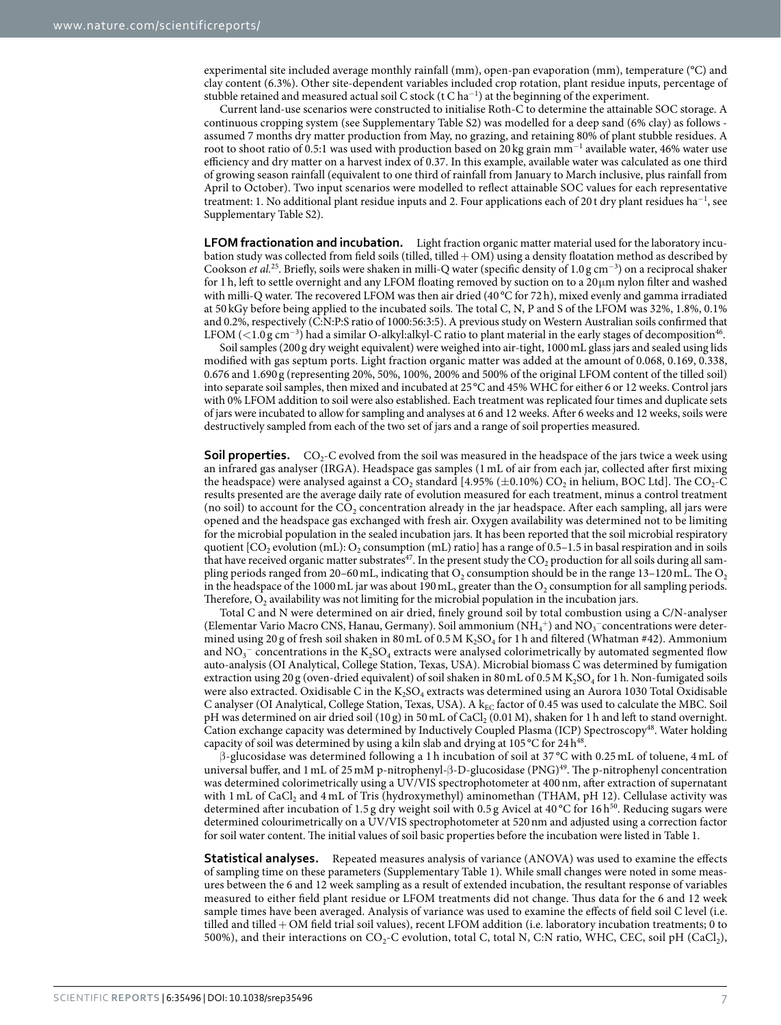experimental site included average monthly rainfall (mm), open-pan evaporation (mm), temperature (°C) and clay content (6.3%). Other site-dependent variables included crop rotation, plant residue inputs, percentage of stubble retained and measured actual soil C stock (t C ha $^{-1}$ ) at the beginning of the experiment.

Current land-use scenarios were constructed to initialise Roth-C to determine the attainable SOC storage. A continuous cropping system (see Supplementary Table S2) was modelled for a deep sand (6% clay) as follows assumed 7 months dry matter production from May, no grazing, and retaining 80% of plant stubble residues. A root to shoot ratio of 0.5:1 was used with production based on 20 kg grain mm<sup>-1</sup> available water, 46% water use efficiency and dry matter on a harvest index of 0.37. In this example, available water was calculated as one third of growing season rainfall (equivalent to one third of rainfall from January to March inclusive, plus rainfall from April to October). Two input scenarios were modelled to reflect attainable SOC values for each representative treatment: 1. No additional plant residue inputs and 2. Four applications each of 20 t dry plant residues ha<sup>-1</sup>, see Supplementary Table S2).

**LFOM fractionation and incubation.** Light fraction organic matter material used for the laboratory incubation study was collected from field soils (tilled, tilled + OM) using a density floatation method as described by Cookson *et al.*[25.](#page-7-35) Briefly, soils were shaken in milli-Q water (specific density of 1.0 g cm<sup>−</sup><sup>3</sup> ) on a reciprocal shaker for 1h, left to settle overnight and any LFOM floating removed by suction on to a 20μm nylon filter and washed with milli-Q water. The recovered LFOM was then air dried (40 °C for 72h), mixed evenly and gamma irradiated at 50 kGy before being applied to the incubated soils. The total C, N, P and S of the LFOM was 32%, 1.8%, 0.1% and 0.2%, respectively (C:N:P:S ratio of 1000:56:3:5). A previous study on Western Australian soils confirmed that LFOM (<1.0 g cm<sup>−3</sup>) had a similar O-alkyl:alkyl-C ratio to plant material in the early stages of decomposition<sup>[46](#page-8-6)</sup>.

Soil samples (200g dry weight equivalent) were weighed into air-tight, 1000mL glass jars and sealed using lids modified with gas septum ports. Light fraction organic matter was added at the amount of 0.068, 0.169, 0.338, 0.676 and 1.690 g (representing 20%, 50%, 100%, 200% and 500% of the original LFOM content of the tilled soil) into separate soil samples, then mixed and incubated at 25°C and 45% WHC for either 6 or 12 weeks. Control jars with 0% LFOM addition to soil were also established. Each treatment was replicated four times and duplicate sets of jars were incubated to allow for sampling and analyses at 6 and 12 weeks. After 6 weeks and 12 weeks, soils were destructively sampled from each of the two set of jars and a range of soil properties measured.

**Soil properties.**  $CO_2$ -C evolved from the soil was measured in the headspace of the jars twice a week using an infrared gas analyser (IRGA). Headspace gas samples (1 mL of air from each jar, collected after first mixing the headspace) were analysed against a  $CO<sub>2</sub>$  standard [4.95% ( $\pm$ 0.10%) CO<sub>2</sub> in helium, BOC Ltd]. The CO<sub>2</sub>-C results presented are the average daily rate of evolution measured for each treatment, minus a control treatment (no soil) to account for the  $CO<sub>2</sub>$  concentration already in the jar headspace. After each sampling, all jars were opened and the headspace gas exchanged with fresh air. Oxygen availability was determined not to be limiting for the microbial population in the sealed incubation jars. It has been reported that the soil microbial respiratory quotient  $[CO<sub>2</sub>$  evolution (mL): O<sub>2</sub> consumption (mL) ratio] has a range of 0.5–1.5 in basal respiration and in soils that have received organic matter substrates<sup>47</sup>. In the present study the CO<sub>2</sub> production for all soils during all sampling periods ranged from 20–60 mL, indicating that  $O_2$  consumption should be in the range 13–120 mL. The  $O_2$ in the headspace of the 1000 mL jar was about 190 mL, greater than the  $O_2$  consumption for all sampling periods. Therefore,  $O_2$  availability was not limiting for the microbial population in the incubation jars.

Total C and N were determined on air dried, finely ground soil by total combustion using a C/N-analyser (Elementar Vario Macro CNS, Hanau, Germany). Soil ammonium  $\rm (NH_4^+)$  and  $\rm NO_3^-$ concentrations were determined using 20 g of fresh soil shaken in 80 mL of 0.5 M K<sub>2</sub>SO<sub>4</sub> for 1h and filtered (Whatman #42). Ammonium and  $\mathrm{NO_3^-}$  concentrations in the  $\mathrm{K_2SO_4}$  extracts were analysed colorimetrically by automated segmented flow auto-analysis (OI Analytical, College Station, Texas, USA). Microbial biomass C was determined by fumigation extraction using 20 g (oven-dried equivalent) of soil shaken in 80 mL of 0.5 M  $K_2$ SO<sub>4</sub> for 1 h. Non-fumigated soils were also extracted. Oxidisable C in the  $K_2SO_4$  extracts was determined using an Aurora 1030 Total Oxidisable C analyser (OI Analytical, College Station, Texas, USA). A k<sub>EC</sub> factor of 0.45 was used to calculate the MBC. Soil pH was determined on air dried soil (10 g) in 50 mL of CaCl<sub>2</sub> (0.01 M), shaken for 1 h and left to stand overnight. Cation exchange capacity was determined by Inductively Coupled Plasma (ICP) Spectroscop[y48](#page-8-8). Water holding capacity of soil was determined by using a kiln slab and drying at 105 °C for 24  $\mathrm{h}^{48}$  $\mathrm{h}^{48}$  $\mathrm{h}^{48}$ .

β-glucosidase was determined following a 1 h incubation of soil at 37 °C with 0.25 mL of toluene, 4 mL of universal buffer, and 1mL of 25mM p-nitrophenyl-β-D-glucosidase (PNG)[49](#page-8-9). The p-nitrophenyl concentration was determined colorimetrically using a UV/VIS spectrophotometer at 400 nm, after extraction of supernatant with 1 mL of CaCl<sub>2</sub> and 4 mL of Tris (hydroxymethyl) aminomethan (THAM, pH 12). Cellulase activity was determined after incubation of 1.5 g dry weight soil with 0.5 g Avicel at 40 °C for 16 h<sup>50</sup>. Reducing sugars were determined colourimetrically on a UV/VIS spectrophotometer at 520nm and adjusted using a correction factor for soil water content. The initial values of soil basic properties before the incubation were listed in [Table 1.](#page-2-0)

**Statistical analyses.** Repeated measures analysis of variance (ANOVA) was used to examine the effects of sampling time on these parameters (Supplementary Table 1). While small changes were noted in some measures between the 6 and 12 week sampling as a result of extended incubation, the resultant response of variables measured to either field plant residue or LFOM treatments did not change. Thus data for the 6 and 12 week sample times have been averaged. Analysis of variance was used to examine the effects of field soil C level (i.e. tilled and tilled + OM field trial soil values), recent LFOM addition (i.e. laboratory incubation treatments; 0 to 500%), and their interactions on  $CO_2$ -C evolution, total C, total N, C:N ratio, WHC, CEC, soil pH (CaCl<sub>2</sub>),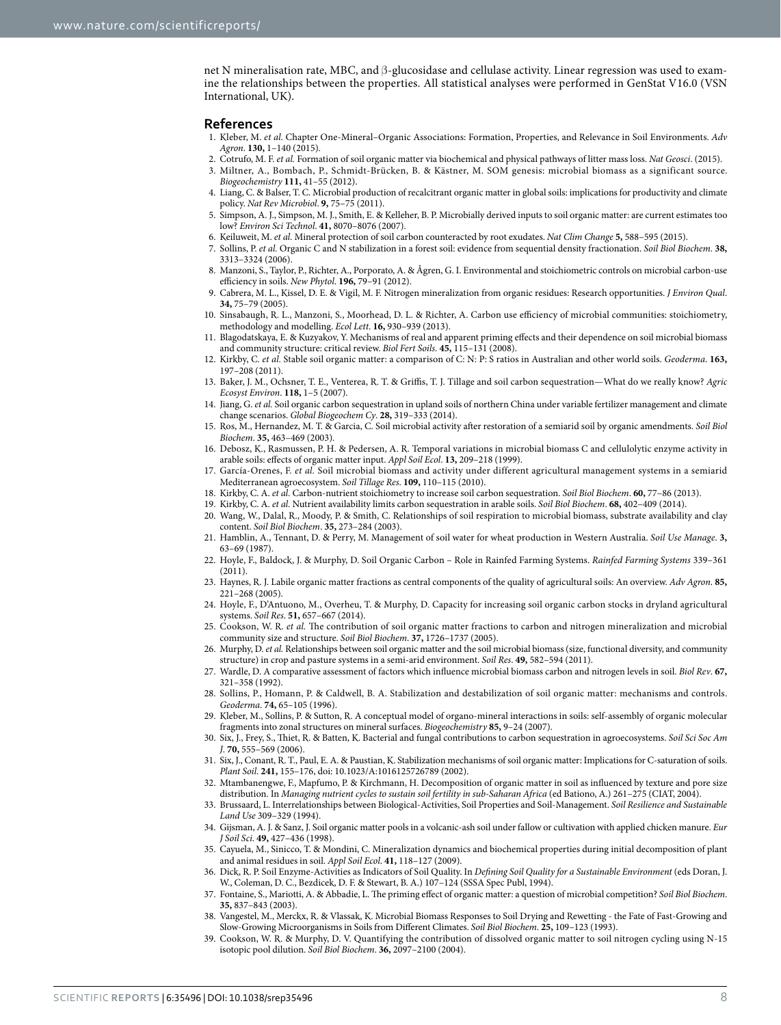net N mineralisation rate, MBC, and β-glucosidase and cellulase activity. Linear regression was used to examine the relationships between the properties. All statistical analyses were performed in GenStat V16.0 (VSN International, UK).

#### **References**

- <span id="page-7-0"></span>1. Kleber, M. *et al.* Chapter One-Mineral–Organic Associations: Formation, Properties, and Relevance in Soil Environments. *Adv Agron*. **130,** 1–140 (2015).
- 2. Cotrufo, M. F. *et al.* Formation of soil organic matter via biochemical and physical pathways of litter mass loss. *Nat Geosci*. (2015).
- <span id="page-7-2"></span><span id="page-7-1"></span>3. Miltner, A., Bombach, P., Schmidt-Brücken, B. & Kästner, M. SOM genesis: microbial biomass as a significant source. *Biogeochemistry* **111,** 41–55 (2012).
- <span id="page-7-6"></span>4. Liang, C. & Balser, T. C. Microbial production of recalcitrant organic matter in global soils: implications for productivity and climate policy. *Nat Rev Microbiol*. **9,** 75–75 (2011).
- <span id="page-7-3"></span>5. Simpson, A. J., Simpson, M. J., Smith, E. & Kelleher, B. P. Microbially derived inputs to soil organic matter: are current estimates too low? *Environ Sci Technol*. **41,** 8070–8076 (2007).
- <span id="page-7-4"></span>6. Keiluweit, M. *et al.* Mineral protection of soil carbon counteracted by root exudates. *Nat Clim Change* **5,** 588–595 (2015).
- <span id="page-7-5"></span>7. Sollins, P. *et al.* Organic C and N stabilization in a forest soil: evidence from sequential density fractionation. *Soil Biol Biochem*. **38,** 3313–3324 (2006).
- <span id="page-7-7"></span>8. Manzoni, S., Taylor, P., Richter, A., Porporato, A. & Ågren, G. I. Environmental and stoichiometric controls on microbial carbon‐use efficiency in soils. *New Phytol*. **196,** 79–91 (2012).
- <span id="page-7-8"></span>9. Cabrera, M. L., Kissel, D. E. & Vigil, M. F. Nitrogen mineralization from organic residues: Research opportunities. *J Environ Qual*. **34,** 75–79 (2005).
- <span id="page-7-9"></span>10. Sinsabaugh, R. L., Manzoni, S., Moorhead, D. L. & Richter, A. Carbon use efficiency of microbial communities: stoichiometry, methodology and modelling. *Ecol Lett*. **16,** 930–939 (2013).
- <span id="page-7-10"></span>11. Blagodatskaya, Е. & Kuzyakov, Y. Mechanisms of real and apparent priming effects and their dependence on soil microbial biomass and community structure: critical review. *Biol Fert Soils.* **45,** 115–131 (2008).
- <span id="page-7-11"></span>12. Kirkby, C. *et al.* Stable soil organic matter: a comparison of C: N: P: S ratios in Australian and other world soils. *Geoderma*. **163,** 197–208 (2011).
- <span id="page-7-12"></span>13. Baker, J. M., Ochsner, T. E., Venterea, R. T. & Griffis, T. J. Tillage and soil carbon sequestration—What do we really know? *Agric Ecosyst Environ*. **118,** 1–5 (2007).
- <span id="page-7-13"></span>14. Jiang, G. *et al.* Soil organic carbon sequestration in upland soils of northern China under variable fertilizer management and climate change scenarios. *Global Biogeochem Cy*. **28,** 319–333 (2014).
- <span id="page-7-14"></span>15. Ros, M., Hernandez, M. T. & Garcia, C. Soil microbial activity after restoration of a semiarid soil by organic amendments. *Soil Biol Biochem*. **35,** 463–469 (2003).
- 16. Debosz, K., Rasmussen, P. H. & Pedersen, A. R. Temporal variations in microbial biomass C and cellulolytic enzyme activity in arable soils: effects of organic matter input. *Appl Soil Ecol*. **13,** 209–218 (1999).
- 17. García-Orenes, F. *et al.* Soil microbial biomass and activity under different agricultural management systems in a semiarid Mediterranean agroecosystem. *Soil Tillage Res*. **109,** 110–115 (2010).
- <span id="page-7-16"></span><span id="page-7-15"></span>18. Kirkby, C. A. *et al.* Carbon-nutrient stoichiometry to increase soil carbon sequestration. *Soil Biol Biochem*. **60,** 77–86 (2013).
- 19. Kirkby, C. A. *et al.* Nutrient availability limits carbon sequestration in arable soils. *Soil Biol Biochem*. **68,** 402–409 (2014).
- <span id="page-7-17"></span>20. Wang, W., Dalal, R., Moody, P. & Smith, C. Relationships of soil respiration to microbial biomass, substrate availability and clay content. *Soil Biol Biochem*. **35,** 273–284 (2003).
- <span id="page-7-18"></span>21. Hamblin, A., Tennant, D. & Perry, M. Management of soil water for wheat production in Western Australia. *Soil Use Manage*. **3,** 63–69 (1987).
- <span id="page-7-19"></span>22. Hoyle, F., Baldock, J. & Murphy, D. Soil Organic Carbon – Role in Rainfed Farming Systems. *Rainfed Farming Systems* 339–361  $(2011)$ .
- <span id="page-7-20"></span>23. Haynes, R. J. Labile organic matter fractions as central components of the quality of agricultural soils: An overview. *Adv Agron*. **85,** 221–268 (2005).
- <span id="page-7-21"></span>24. Hoyle, F., D'Antuono, M., Overheu, T. & Murphy, D. Capacity for increasing soil organic carbon stocks in dryland agricultural systems. *Soil Res*. **51,** 657–667 (2014).
- <span id="page-7-35"></span>25. Cookson, W. R. *et al.* The contribution of soil organic matter fractions to carbon and nitrogen mineralization and microbial community size and structure. *Soil Biol Biochem*. **37,** 1726–1737 (2005).
- 26. Murphy, D. *et al.* Relationships between soil organic matter and the soil microbial biomass (size, functional diversity, and community structure) in crop and pasture systems in a semi-arid environment. *Soil Res*. **49,** 582–594 (2011).
- <span id="page-7-22"></span>27. Wardle, D. A comparative assessment of factors which influence microbial biomass carbon and nitrogen levels in soil. *Biol Rev*. **67,** 321–358 (1992).
- <span id="page-7-23"></span>28. Sollins, P., Homann, P. & Caldwell, B. A. Stabilization and destabilization of soil organic matter: mechanisms and controls. *Geoderma*. **74,** 65–105 (1996).
- <span id="page-7-24"></span>29. Kleber, M., Sollins, P. & Sutton, R. A conceptual model of organo-mineral interactions in soils: self-assembly of organic molecular fragments into zonal structures on mineral surfaces. *Biogeochemistry* **85,** 9–24 (2007).
- <span id="page-7-25"></span>30. Six, J., Frey, S., Thiet, R. & Batten, K. Bacterial and fungal contributions to carbon sequestration in agroecosystems. *Soil Sci Soc Am J*. **70,** 555–569 (2006).
- <span id="page-7-26"></span>31. Six, J., Conant, R. T., Paul, E. A. & Paustian, K. Stabilization mechanisms of soil organic matter: Implications for C-saturation of soils. *Plant Soil*. **241,** 155–176, doi: 10.1023/A:1016125726789 (2002).
- <span id="page-7-27"></span>32. Mtambanengwe, F., Mapfumo, P. & Kirchmann, H. Decomposition of organic matter in soil as influenced by texture and pore size distribution. In *Managing nutrient cycles to sustain soil fertility in sub-Saharan Africa* (ed Bationo, A.) 261–275 (CIAT, 2004).
- <span id="page-7-28"></span>33. Brussaard, L. Interrelationships between Biological-Activities, Soil Properties and Soil-Management. *Soil Resilience and Sustainable Land Use* 309–329 (1994).
- <span id="page-7-29"></span>34. Gijsman, A. J. & Sanz, J. Soil organic matter pools in a volcanic‐ash soil under fallow or cultivation with applied chicken manure. *Eur J Soil Sci*. **49,** 427–436 (1998).
- <span id="page-7-30"></span>35. Cayuela, M., Sinicco, T. & Mondini, C. Mineralization dynamics and biochemical properties during initial decomposition of plant and animal residues in soil. *Appl Soil Ecol*. **41,** 118–127 (2009).
- <span id="page-7-31"></span>36. Dick, R. P. Soil Enzyme-Activities as Indicators of Soil Quality. In *Defining Soil Quality for a Sustainable Environment* (eds Doran, J. W., Coleman, D. C., Bezdicek, D. F. & Stewart, B. A.) 107–124 (SSSA Spec Publ, 1994).
- <span id="page-7-32"></span>37. Fontaine, S., Mariotti, A. & Abbadie, L. The priming effect of organic matter: a question of microbial competition? *Soil Biol Biochem*. **35,** 837–843 (2003).
- <span id="page-7-33"></span>38. Vangestel, M., Merckx, R. & Vlassak, K. Microbial Biomass Responses to Soil Drying and Rewetting - the Fate of Fast-Growing and Slow-Growing Microorganisms in Soils from Different Climates. *Soil Biol Biochem*. **25,** 109–123 (1993).
- <span id="page-7-34"></span>39. Cookson, W. R. & Murphy, D. V. Quantifying the contribution of dissolved organic matter to soil nitrogen cycling using N-15 isotopic pool dilution. *Soil Biol Biochem*. **36,** 2097–2100 (2004).